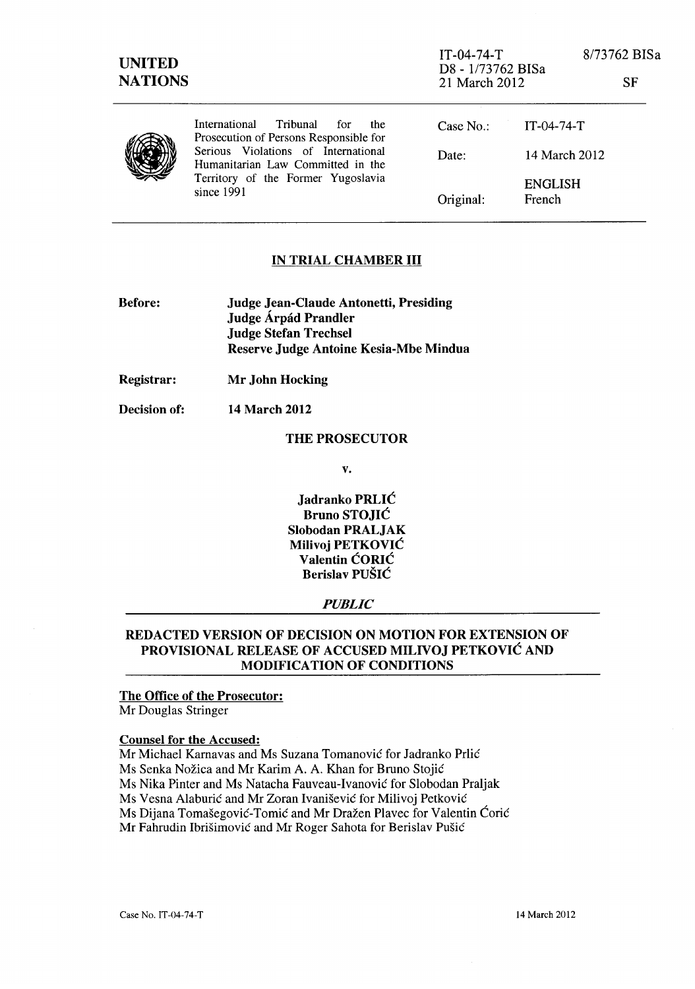| <b>UNITED</b><br><b>NATIONS</b> |                                                                                                                                                                                                                   | $IT-04-74-T$<br>D8 - 1/73762 BISa<br>21 March 2012 |                          | 8/73762 BISa<br>SF |
|---------------------------------|-------------------------------------------------------------------------------------------------------------------------------------------------------------------------------------------------------------------|----------------------------------------------------|--------------------------|--------------------|
|                                 | Tribunal<br>International<br>for<br>the<br>Prosecution of Persons Responsible for<br>Serious Violations of International<br>Humanitarian Law Committed in the<br>Territory of the Former Yugoslavia<br>since 1991 | Case $No.$ :                                       | $IT-04-74-T$             |                    |
|                                 |                                                                                                                                                                                                                   | Date:                                              | 14 March 2012            |                    |
|                                 |                                                                                                                                                                                                                   | Original:                                          | <b>ENGLISH</b><br>French |                    |

### IN TRIAL CHAMBER III

| <b>Before:</b> | Judge Jean-Claude Antonetti, Presiding |  |  |
|----------------|----------------------------------------|--|--|
|                | Judge Árpád Prandler                   |  |  |
|                | <b>Judge Stefan Trechsel</b>           |  |  |
|                | Reserve Judge Antoine Kesia-Mbe Mindua |  |  |

Registrar: Mr John Hocking

Decision of: 14 March 2012

#### THE PROSECUTOR

v.

Jadranko PRLIé Bruno STOJIé Siobodan PRALJAK Milivoj PETKOVIé Valentin éORIé Berislav PUSIé

### *PUBLIC*

## REDACTED VERSION OF DECISION ON MOTION FOR EXTENSION OF PROVISIONAL RELEASE OF ACCUSED MILIVOJ PETKOVIé AND MODIFICATION OF CONDITIONS

# The Office of the Prosecutor:

Mr Douglas Stringer

### Counsel for the Accused:

Mr Michael Karnavas and Ms Suzana Tomanovié for Jadranko Prlié Ms Senka Nozica and Mr Karim A. A. Khan for Bruno Stojié Ms Nika Pinter and Ms Natacha Fauveau-Ivanovié for Slobodan Praljak Ms Vesna Alaburié and Mr Zoran Ivanisevié for Milivoj Petkovié Ms Dijana Tomašegović-Tomić and Mr Dražen Plavec for Valentin Ćorić Mr Fahrudin Ibrisimovié and Mr Roger Sahota for Berislav Pusié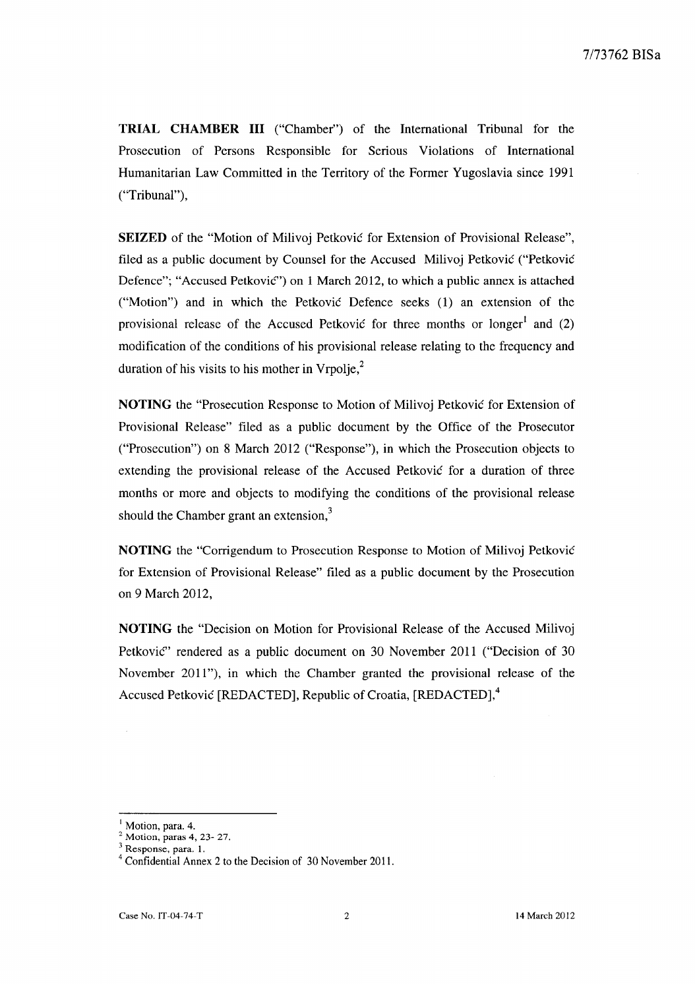**TRIAL CHAMBER III** ("Chamber") of the International Tribunal for the Prosecution of Persons Responsible for Serious Violations of International Humanitarian Law Committed in the Territory of the Former Yugoslavia since 1991 ("Tribunal"),

**SEIZED** of the "Motion of Milivoj Petković for Extension of Provisional Release", filed as a public document by Counsel for the Accused Milivoj Petkovié ("Petkovié Defence"; "Accused Petkovié") on 1 March 2012, to which a public annex is attached ("Motion") and in which the Petkovié Defence seeks (1) an extension of the provisional release of the Accused Petković for three months or longer<sup>1</sup> and  $(2)$ modification of the conditions of his provisional release relating to the frequency and duration of his visits to his mother in  $V_{\text{rpolie}}^2$ .

**NOTING** the "Prosecution Response to Motion of Milivoj Petkovié for Extension of Provisional Release" filed as a public document by the Office of the Prosecutor ("Prosecution") on 8 March 2012 ("Response"), in which the Prosecution objects to extending the provisional release of the Accused Petković for a duration of three months or more and objects to modifying the conditions of the provisional release should the Chamber grant an extension,<sup>3</sup>

NO TING the "Corrigendum to Prosecution Response to Motion of Milivoj Petkovié for Extension of Provisional Release" filed as a public document by the Prosecution on 9 March 2012,

**NOTING** the "Decision on Motion for Provisional Release of the Accused Milivoj Petkovié" rendered as a public document on 30 November 2011 ("Decision of 30 November 2011"), in which the Chamber granted the provisional release of the Accused Petković [REDACTED], Republic of Croatia, [REDACTED],<sup>4</sup>

 $<sup>1</sup>$  Motion, para. 4.</sup>

 $2^2$  Motion, paras 4, 23- 27.

 $3$  Response, para. 1.

 $4^4$  Confidential Annex 2 to the Decision of 30 November 2011.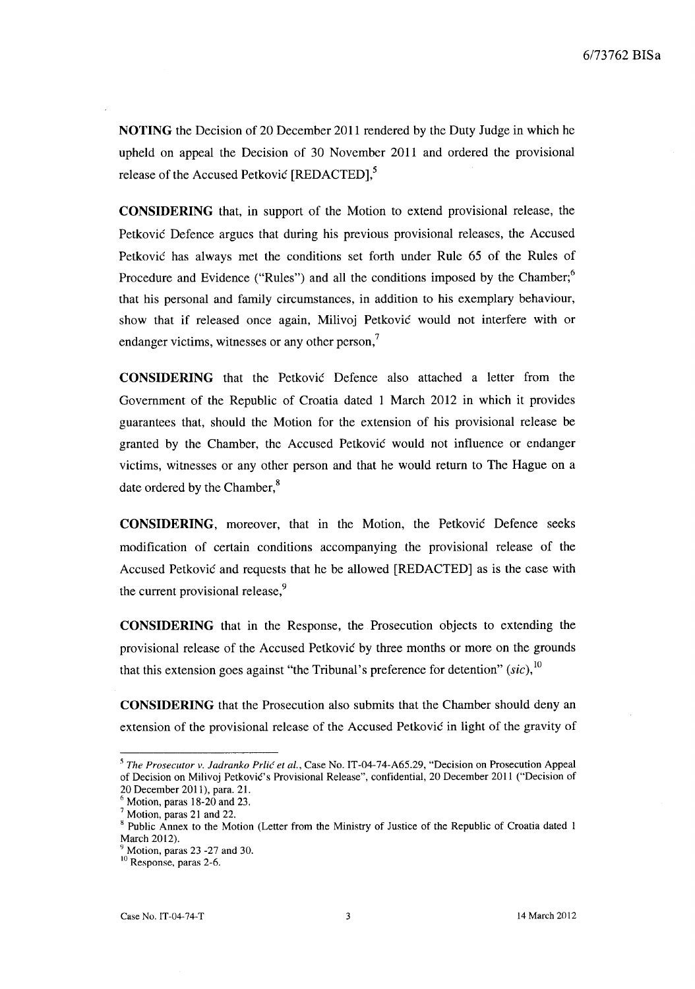NOTING the Decision of 20 December 2011 rendered by the Duty Judge in which he upheld on appeal the Decision of 30 November 2011 and ordered the provisional release of the Accused Petković [REDACTED],<sup>5</sup>

**CONSIDERING** that, in support of the Motion to extend provisional release, the Petkovié Defence argues that during his previous provisional releases, the Accused Petkovié has always met the conditions set forth under Rule 65 of the Rules of Procedure and Evidence ("Rules") and all the conditions imposed by the Chamber;<sup>6</sup> that his personal and family circumstances, in addition to his exemplary behaviour, show that if released once again, Milivoj Petkovié would not interfere with or endanger victims, witnesses or any other person,<sup>7</sup>

**CONSIDERING** that the Petkovié Defence also attached a letter from the Govemment of the Republic of Croatia dated 1 March 2012 in which it provides guarantees that, should the Motion for the extension of his provisional release be granted by the Chamber, the Accused Petkovié would not influence or endanger victims, witnesses or any other person and that he would return to The Hague on a date ordered by the Chamber,<sup>8</sup>

**CONSIDERING,** moreover, that in the Motion, the Petkovié Defence seeks modification of certain conditions accompanying the provisional release of the Accused Petkovié and requests that he be aIlowed [REDACTED] as is the case with the current provisional release,<sup>9</sup>

**CONSIDERING** that in the Response, the Prosecution objects to extending the provisional release of the Accused Petkovié by three months or more on the grounds that this extension goes against "the Tribunal's preference for detention" (sic),  $^{10}$ 

**CONSIDERING** that the Prosecution also submits that the Chamber should deny an extension of the provisional release of the Accused Petković in light of the gravity of

*<sup>5</sup> The Prosecutor v. ladranko Prlié et al.,* Case No. IT-04-74-A65.29, "Decision on Prosecution Appeal of Decision on Milivoj Petkovié's Provisional Release", confidential, 20 December 2011 ("Decision of 20 December 2011), para. 21.

 $<sup>6</sup>$  Motion, paras 18-20 and 23.</sup>

 $<sup>7</sup>$  Motion, paras 21 and 22.</sup>

<sup>&</sup>lt;sup>8</sup> Public Annex to the Motion (Letter from the Ministry of Justice of the Republic of Croatia dated 1 March 2012).

Motion, paras 23 -27 and 30.

<sup>&</sup>lt;sup>10</sup> Response, paras 2-6.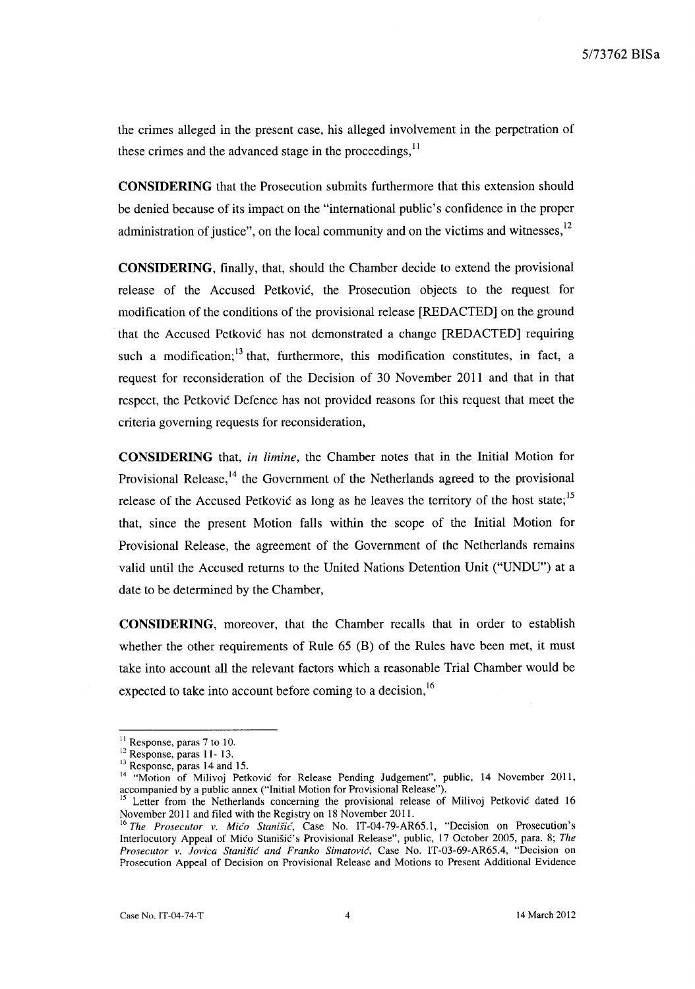the crimes alleged in the present case, his alleged involvement in the perpetration of these crimes and the advanced stage in the proceedings,<sup>11</sup>

**CONSIDERING** that the Prosecution subrnits furthermore that this extension should be denied because of its impact on the "international public' s confidence in the proper administration of justice", on the local community and on the victims and witnesses, $12$ 

**CONSIDERING,** finaIly, that, should the Chamber decide to extend the provisional release of the Accused Petkovié, the Prosecution objects to the request for modification of the conditions of the provisional release [REDACTED] on the ground that the Accused Petkovié has not demonstrated a change [REDACTED] requiring such a modification; $<sup>13</sup>$  that, furthermore, this modification constitutes, in fact, a</sup> request for reconsideration of the Decision of 30 November 2011 and that in that respect, the Petkovié Defence has not provided reasons for this request that meet the criteria governing requests for reconsideration,

**CONSIDERING** that, *in limine,* the Chamber notes that in the Initial Motion for Provisional Release, $14$  the Government of the Netherlands agreed to the provisional release of the Accused Petković as long as he leaves the territory of the host state;<sup>15</sup> that, since the present Motion falls within the scope of the Initial Motion for Provisional Release, the agreement of the Government of the Netherlands remains valid until the Accused returns to the United Nations Detention Unit ("UNDU") at a date to be determined by the Chamber,

**CONSIDERING,** moreover, that the Chamber recalls that in arder to establish whether the other requirements of Rule 65 (B) of the Rules have been met, it must take into account all the relevant factors which a reasonable Trial Chamber would be expected to take into account before coming to a decision,  $16$ 

 $11$  Response, paras 7 to 10.

<sup>&</sup>lt;sup>12</sup> Response, paras 11-13.

<sup>&</sup>lt;sup>13</sup> Response, paras 14 and 15.

<sup>&</sup>lt;sup>14</sup> "Motion of Milivoj Petković for Release Pending Judgement", public, 14 November 2011, accompanied by a public annex ("Initial Motion for Provisional Release").

<sup>15</sup> Letter from the Netherlands conceming the provisional release of Milivoj Petkovié dated 16 November 2011 and filed with the Registry on 18 November 2011.

<sup>&</sup>lt;sup>16</sup> The Prosecutor v. Mićo Stanišić, Case No. IT-04-79-AR65.1, "Decision on Prosecution's Interlocutory Appeal of Miéo Stanisié's Provisional Release", public, 17 October 2005, para. 8; *The Prosecutor v. Jovica Stanifié and Franko Simatovié,* Case No. IT-03-69-AR65.4, "Decision on Prosecution Appeal of Decision on Provisional Release and Motions to Present Additional Evidence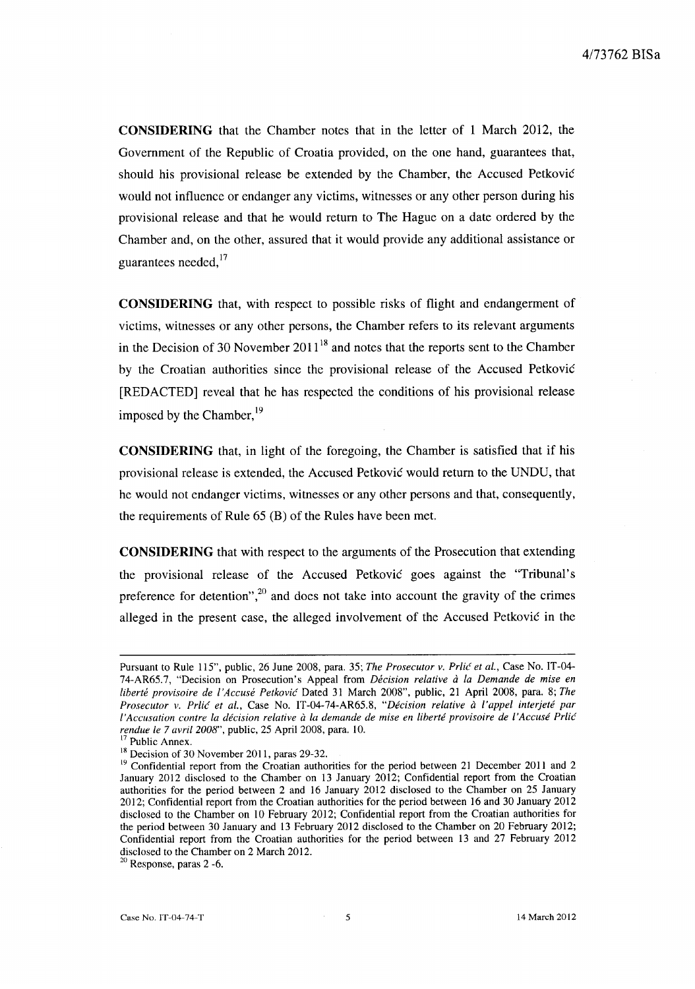**CONSIDERING** that the Chamber notes that in the letter of 1 March 2012, the Government of the Republic of Croatia provided, on the one hand, guarantees that, should his provisional release be extended by the Chamber, the Accused Petkovié would not influence or endanger any victims, witnesses or any other person during his provisional release and that he would return to The Hague on a date ordered by the Chamber and, on the other, assured that it would provide any additional assistance or guarantees needed, $^{17}$ 

**CONSIDERING** that, with respect to possible risks of flight and endangerment of victims, witnesses or any other persons, the Chamber refers to its relevant arguments in the Decision of 30 November  $2011^{18}$  and notes that the reports sent to the Chamber by the Croatian authorities since the provisional release of the Accused Petkovié [REDACTED] reveal that he has respected the conditions of his provisional release imposed by the Chamber, $^{19}$ 

**CONSIDERING** that, in light of the foregoing, the Chamber is satisfied that if his provisional release is extended, the Accused Petkovié would return to the UNDU, that he would not endanger victims, witnesses or any other persons and that, consequently, the requirements of Rule 65 (B) of the Rules have been met.

**CONSIDERING** that with respect to the arguments of the Prosecution that extending the provisional release of the Accused Petkovié goes against the "Tribunal's preference for detention",<sup>20</sup> and does not take into account the gravity of the crimes alleged in the present case, the alleged involvement of the Accused Petkovié in the

Pursuant to Rule 115", public, 26 June 2008, para. 35; *The Prosecutor v. Prlié et al.,* Case No. IT-04- 74-AR65.7, "Decision on Prosecution's Appeal from *Décision relative à la Demande de mise en liberté provisoire de l'Accusé Petkovié* Dated 31 March 2008", public, 21 April 2008, para. 8; *The Prosecutor v. Prlié et al.,* Case No. IT-04-74-AR65.8, *"Décision relative à l'appel interjeté par l'Accusation contre la décision relative à la demande de mise en liberté provisoire de l'Accusé Prlié rendue le* 7 *avril 2008",* public, 25 April 2008, para. 10.

 $7$  Public Annex.

<sup>&</sup>lt;sup>18</sup> Decision of 30 November 2011, paras 29-32.

 $19$  Confidential report from the Croatian authorities for the period between 21 December 2011 and 2 January 2012 disclosed to the Chamber on 13 January 2012; Confidential report from the Croatian authorities for the period between 2 and 16 January 2012 disclosed to the Chamber on 25 January 2012; Confidential report from the Croatian authorities for the period between 16 and 30 January 2012 disclosed to the Chamber on 10 February 2012; Confidential report from the Croatian authorities for the period between 30 January and 13 February 2012 disclosed to the Chamber on 20 February 2012; Confidential report from the Croatian authorities for the period between 13 and 27 February 2012 disclosed to the Chamber on 2 March 2012.

 $20$  Response, paras 2 -6.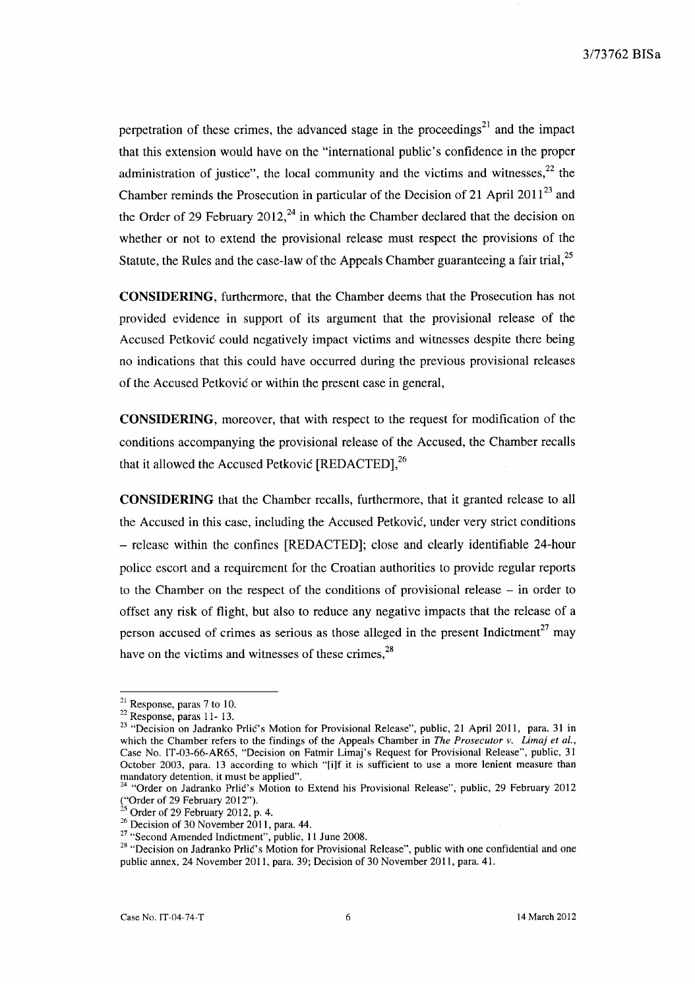perpetration of these crimes, the advanced stage in the proceedings<sup>21</sup> and the impact that this extension would have on the "international public's confidence in the proper administration of justice", the local community and the victims and witnesses, $^{22}$  the Chamber reminds the Prosecution in particular of the Decision of 21 April 2011<sup>23</sup> and the Order of 29 February 2012,<sup>24</sup> in which the Chamber declared that the decision on whether or not to extend the provisional release must respect the provisions of the Statute, the Rules and the case-law of the Appeals Chamber guaranteeing a fair trial, $^{25}$ 

**CONSIDERING,** furthermore, that the Chamber deems that the Prosecution has not provided evidence in support of its argument that the provisional release of the Accused Petkovié could negatively impact victims and witnesses despite there being no indications that this could have occurred during the previous provisional releases of the Accused Petkovié or within the present case in general,

**CONSIDERING,** moreover, that with respect to the request for modification of the conditions accompanying the provisional release of the Accused, the Chamber recalls that it allowed the Accused Petković [REDACTED],<sup>26</sup>

**CONSIDERING** that the Chamber recaIls, furthermore, that it granted release to aIl the Accused in this case, including the Accused Petkovié, under very strict conditions - release within the confines [REDACTED]; close and clearly identifiable 24-hour police escort and a requirement for the Croatian authorities to provide regular reports to the Chamber on the respect of the conditions of provisional release - in order to offset any risk of flight, but also to reduce any negative impacts that the release of a person accused of crimes as serious as those alleged in the present Indictment<sup>27</sup> may have on the victims and witnesses of these crimes.<sup>28</sup>

 $21$  Response, paras 7 to 10.

 $22$  Response, paras 11-13.

<sup>&</sup>lt;sup>23</sup> "Decision on Jadranko Prlić's Motion for Provisional Release", public, 21 April 2011, para. 31 in which the Chamber refers to the findings of the Appeals Chamber in *The Prosecutor v. Limaj et al.,*  Case No. IT-03-66-AR65, "Decision on Fatmir Limaj's Request for Provisional Release", public, 31 October 2003, para. 13 according to which "[i]f it is sufficient to use a more lenient measure than mandatory detention, it must be applied".

<sup>24</sup>"Order on Jadranko Prlié's Motion to Extend his Provisional Release", public, 29 February 2012 ("Order of 29 February 2012").

 $^{25}$  Order of 29 February 2012, p. 4.

<sup>&</sup>lt;sup>26</sup> Decision of 30 November 2011, para. 44.

 $27$  "Second Amended Indictment", public, 11 June 2008.

<sup>&</sup>lt;sup>28</sup> "Decision on Jadranko Prlić's Motion for Provisional Release", public with one confidential and one public annex, 24 November 2011, para. 39; Decision of 30 November 2011, para. 41.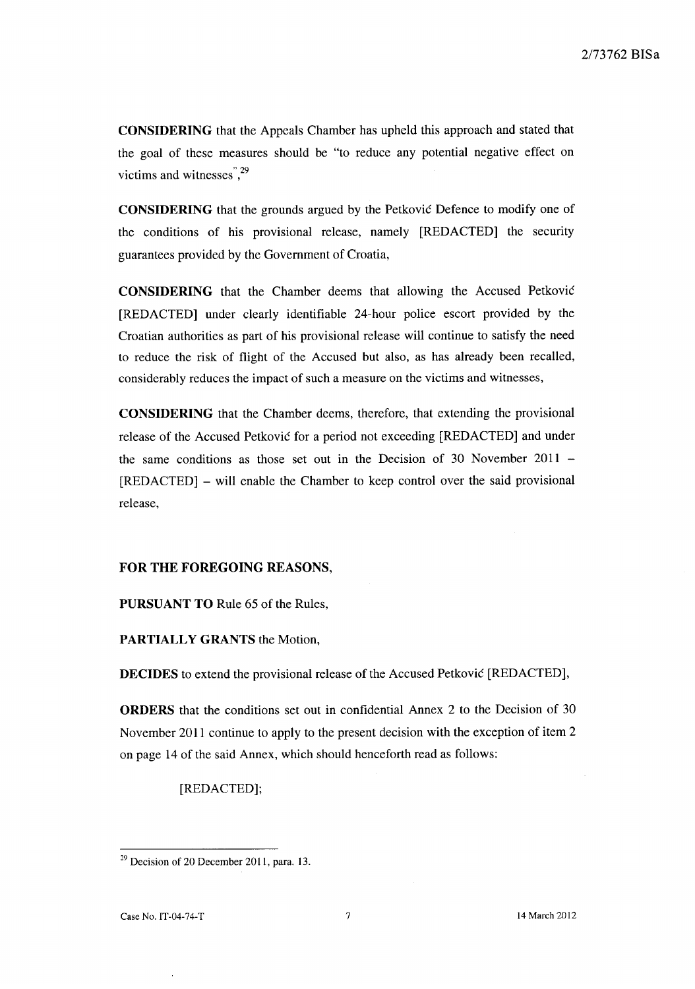CONSIDERING that the Appeals Chamber has uphe1d this approach and stated that the goal of these measures should be "to reduce any potential negative effect on victims and witnesses<sup>", 29</sup>

CONSIDERING that the grounds argued by the Petkovié Defence to modify one of the conditions of his provisional release, namely [REDACTED] the security guarantees provided by the Govemment of Croatia,

CONSIDERING that the Chamber deems that allowing the Accused Petkovié [REDACTED] under clearly identifiable 24-hour police escort provided by the Croatian authorities as part of his provisional release will continue to satisfy the need to reduce the risk of flight of the Accused but also, as has already been recalled, considerably reduces the impact of such a measure on the victims and witnesses,

CONSIDERING that the Chamber deems, therefore, that extending the provisional release of the Accused Petković for a period not exceeding [REDACTED] and under the same conditions as those set out in the Decision of 30 November 2011 - [REDACTED] - will enable the Chamber to keep control over the said provisional release,

### FOR THE FOREGOING REASONS,

PURSUANT TO Rule 65 of the Rules,

PARTIALLY GRANTS the Motion,

DECIDES to extend the provisional release of the Accused Petkovié [REDACTED],

ORDERS that the conditions set out in confidential Annex 2 to the Decision of 30 November 2011 continue to apply to the present decision with the exception of item 2 on page 14 of the said Annex, which should henceforth read as follows:

[REDACTED];

 $29$  Decision of 20 December 2011, para. 13.